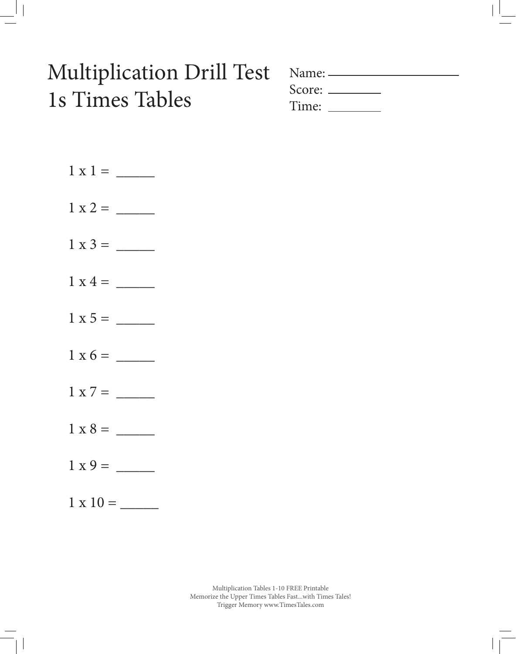# Multiplication Drill Test 1s Times Tables

| Name: — |               |  |
|---------|---------------|--|
|         | Score: $\_\_$ |  |
|         | Time: Time:   |  |

| $1 \times 7 = \_$ |
|-------------------|
|                   |
|                   |
| $1 \times 10 =$   |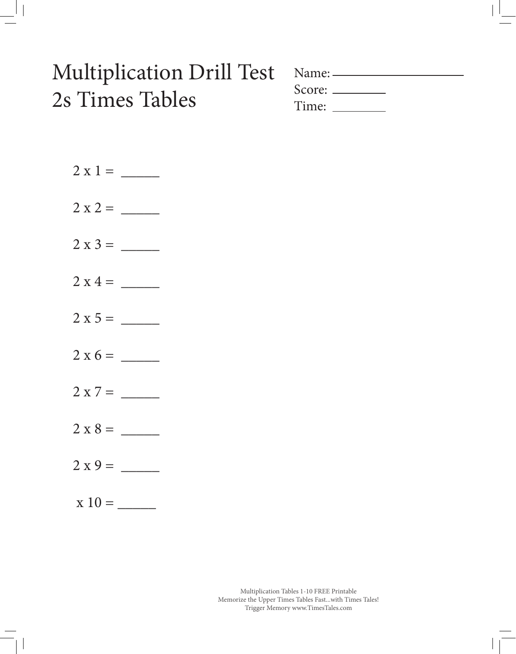#### Multiplication Drill Test 2s Times Tables

| $Name:$ —     |  |
|---------------|--|
| $Score: \_\_$ |  |
| Time:         |  |

 $2 \times 1 = \_$ 2 x 2 = \_\_\_\_\_  $2 x 3 = \_$  $2 \times 4 = \_$ 2 x 5 = \_\_\_\_\_ 2 x 6 = \_\_\_\_\_  $2 x 7 = \_$ 2 x 8 = \_\_\_\_\_  $2 x 9 = \_$  $x 10 = \_$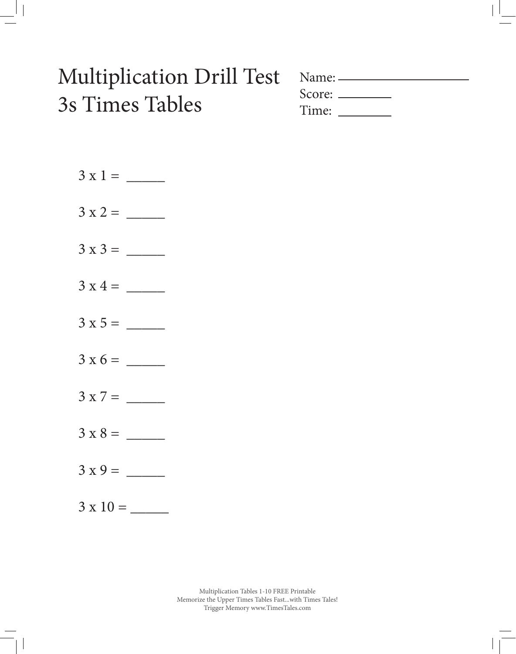#### Multiplication Drill Test 3s Times Tables

|       | $Name: \_\_\_\_\_\_\_\_\_\_\_\_\_\_\_\_\_\_\_$ |
|-------|------------------------------------------------|
|       | Score: $\_\_$                                  |
| Time: |                                                |



3 x 10 = \_\_\_\_\_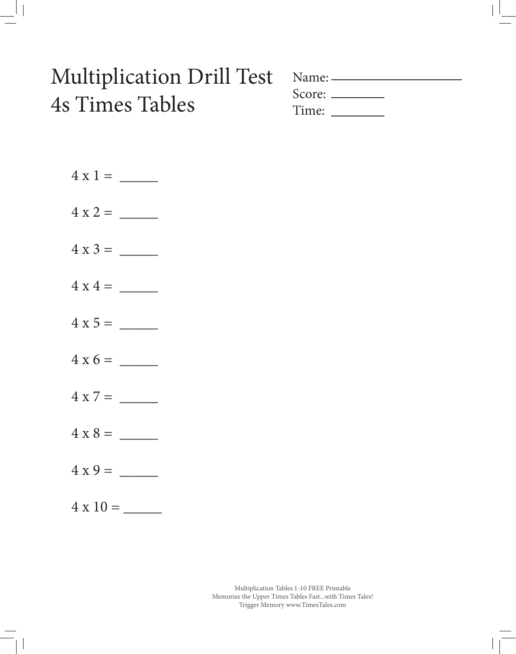#### Multiplication Drill Test 4s Times Tables

| Name: ——      |  |  |
|---------------|--|--|
| Score: ______ |  |  |
| Time:         |  |  |

4 x 10 = \_\_\_\_\_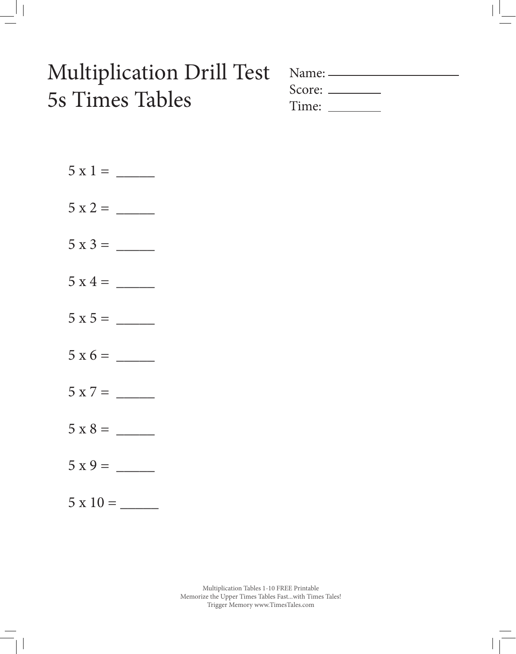# Multiplication Drill Test 5s Times Tables

| Name: — |               |  |
|---------|---------------|--|
|         | Score: $\_\_$ |  |
|         | Time: Time:   |  |

| $5x4 =$ |  |
|---------|--|
|         |  |
|         |  |
|         |  |
|         |  |
|         |  |
|         |  |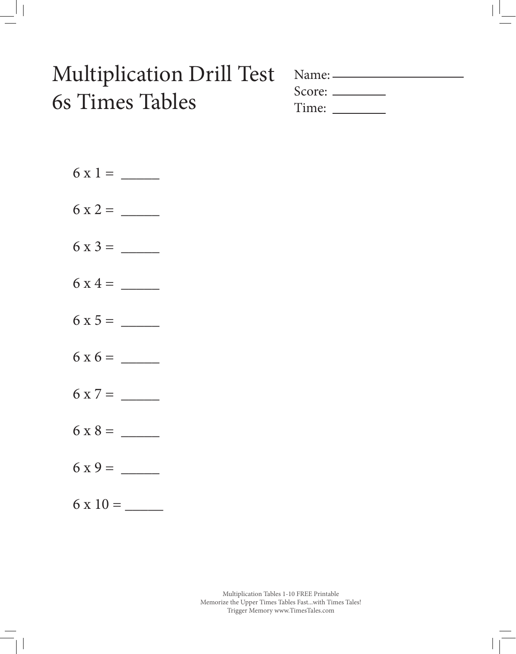## Multiplication Drill Test 6s Times Tables

| Name: — |  |  |
|---------|--|--|
|         |  |  |
| Time:   |  |  |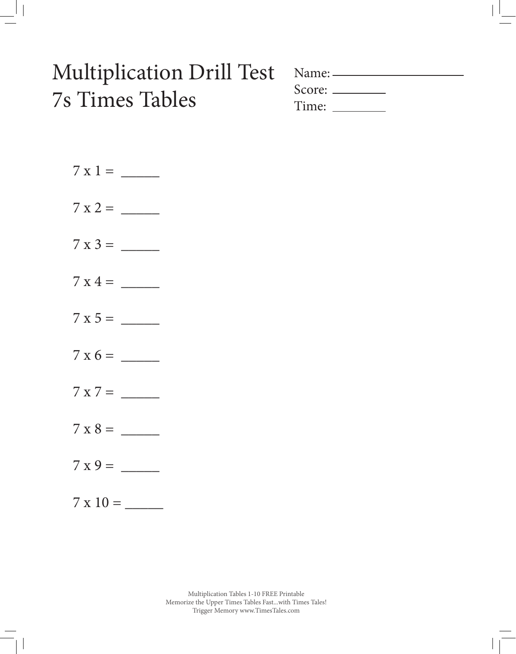## Multiplication Drill Test 7s Times Tables

| $Name:$ — |  |
|-----------|--|
|           |  |
| Time:     |  |

| $7 \times 9 =$ |
|----------------|
|                |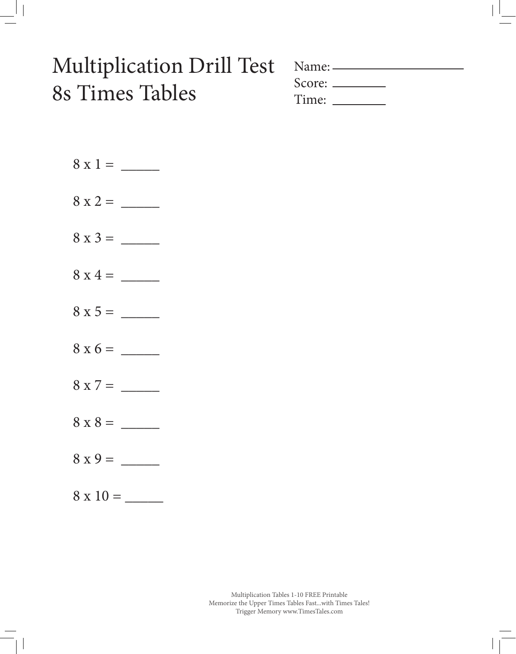## Multiplication Drill Test 8s Times Tables

| Name: $\equiv$ |               |  |
|----------------|---------------|--|
|                | Score: $\_\_$ |  |
|                | Time:         |  |

8 x 1 = \_\_\_\_\_ 8 x 2 = \_\_\_\_\_  $8 x 3 = \_$  $8 \times 4 = \_$ 8 x 5 = \_\_\_\_\_ 8 x 6 = \_\_\_\_\_ 8 x 7 = \_\_\_\_\_ 8 x 8 = \_\_\_\_\_ 8 x 9 = \_\_\_\_\_ 8 x 10 = \_\_\_\_\_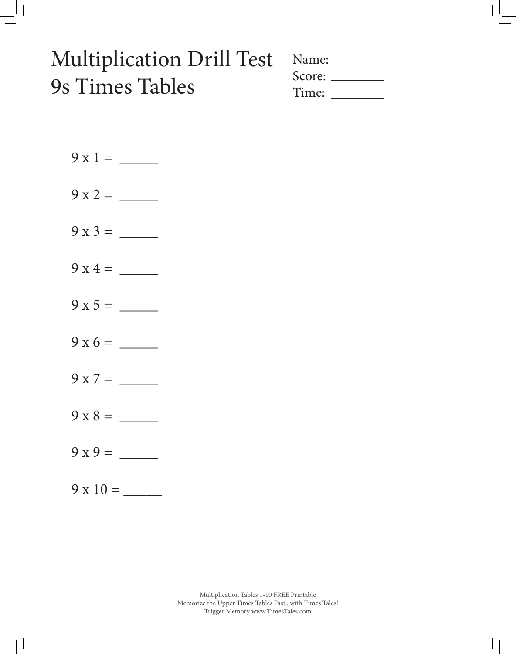## Multiplication Drill Test 9s Times Tables

| Score: $\_\_$ |  |  |
|---------------|--|--|
| Time:         |  |  |